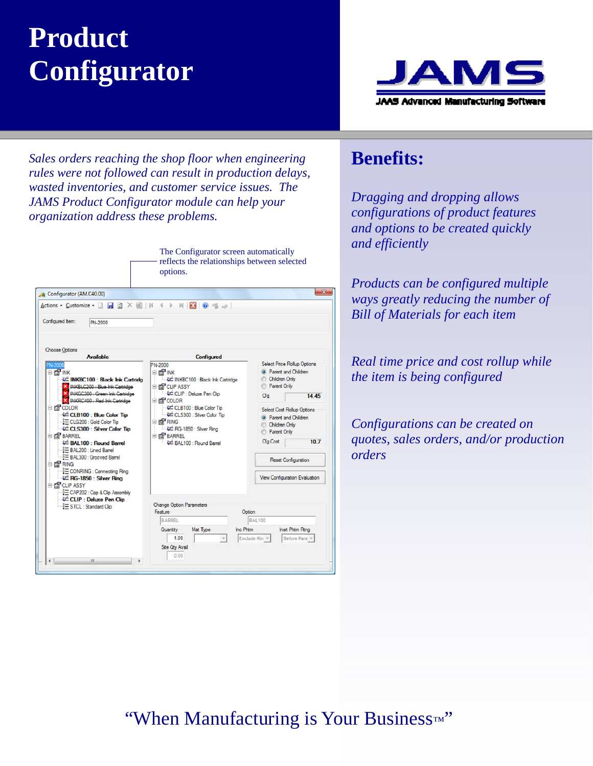# **Product Configurator**



*Sales orders reaching the shop floor when engineering rules were not followed can result in production delays, wasted inventories, and customer service issues. The JAMS Product Configurator module can help your organization address these problems.* 

|                                                                                                                                                                                                                                                                                                                                                                                                                                                                                                                                                                                                                                      | The Configurator screen automatically<br>reflects the relationships between selected<br>options.                                                                                                                                                                                                        |                                                                                                                                                                                                                                                                                                                      |  |  |  |
|--------------------------------------------------------------------------------------------------------------------------------------------------------------------------------------------------------------------------------------------------------------------------------------------------------------------------------------------------------------------------------------------------------------------------------------------------------------------------------------------------------------------------------------------------------------------------------------------------------------------------------------|---------------------------------------------------------------------------------------------------------------------------------------------------------------------------------------------------------------------------------------------------------------------------------------------------------|----------------------------------------------------------------------------------------------------------------------------------------------------------------------------------------------------------------------------------------------------------------------------------------------------------------------|--|--|--|
| 4 Configurator (AM.C40.00)                                                                                                                                                                                                                                                                                                                                                                                                                                                                                                                                                                                                           |                                                                                                                                                                                                                                                                                                         | $\boldsymbol{\mathsf{x}}$                                                                                                                                                                                                                                                                                            |  |  |  |
| Actions - Customize - <b>H</b> a X H   N                                                                                                                                                                                                                                                                                                                                                                                                                                                                                                                                                                                             | $M$ $\overline{X}$ $\overline{0}$ = $\Rightarrow$<br>$\leftarrow$                                                                                                                                                                                                                                       |                                                                                                                                                                                                                                                                                                                      |  |  |  |
| Configured Item:<br>PN-2000                                                                                                                                                                                                                                                                                                                                                                                                                                                                                                                                                                                                          |                                                                                                                                                                                                                                                                                                         |                                                                                                                                                                                                                                                                                                                      |  |  |  |
| <b>Choose Options</b><br><b>Available</b><br>E PY INK<br>₹ INKBC100 : Black Ink Cartridg<br>X INKBLC200 : Blue Ink Cartridge<br>INKGC300 : Green Ink Cartridge<br>X INKRC400 : Red Ink Cartridge<br><b>ELEST COLOR</b><br>© CLB100 : Blue Color Tip<br>§ CLG200 : Gold Color Tip<br>₹ CLS300 : Silver Color Tip<br><b>BARREL</b><br>₹ BAL100 : Round Barrel<br>E BAL200 : Lined Barrel<br>₹ BAL300 : Grooved Barrel<br>E <b>P</b> RING<br><b>E CONRING : Connecting Ring</b><br>₹ RG-1850 : Silver Ring<br>E <b>ET CLIP ASSY</b><br>E CAP202 : Cap & Clip Assembly<br><b>&amp; CLIP: Deluxe Pen Clip</b><br>STCL: Standard Clip<br>Ш | <b>Configured</b><br>PN-2000<br>E PY INK<br>-& INKBC100 : Black Ink Cartridge<br>E FOT CLIP ASSY<br>& CLIP : Deluxe Pen Clip<br>E RY COLOR<br>- - 2 CLB100 : Blue Color Tip<br>- & CLS300 : Silver Color Tip<br>E PY RING<br>₹ RG-1850 : Silver Ring<br><b>E REP</b> BARREL<br>£± BAL100 · Round Barrel | <b>Select Price Rollup Options</b><br><b>Q</b> Parent and Children<br>Children Only<br>Parent Only<br>14 45<br>Cfa<br><b>Select Cost Rollup Options</b><br><sup>O</sup> Parent and Children<br>Children Only<br>Parent Only<br>Cfg Cost<br>107<br><b>Reset Configuration</b><br><b>View Configuration Evaluation</b> |  |  |  |
|                                                                                                                                                                                                                                                                                                                                                                                                                                                                                                                                                                                                                                      | <b>Change Option Parameters</b><br>Feature<br>BARREL<br>Mat Type<br>Inc. Phtm.<br>Quantity<br>1.00<br><b>Site Qty Avail</b><br>0.00                                                                                                                                                                     | Option<br><b>BAL100</b><br>Inst Phtm Rtng<br>Before Pare -<br>Exclude Rtn -                                                                                                                                                                                                                                          |  |  |  |

#### **Benefits:**

*Dragging and dropping allows configurations of product features and options to be created quickly and efficiently* 

*Products can be configured multiple ways greatly reducing the number of Bill of Materials for each item* 

*Real time price and cost rollup while the item is being configured* 

*Configurations can be created on quotes, sales orders, and/or production orders* 

### "When Manufacturing is Your Business*™* "